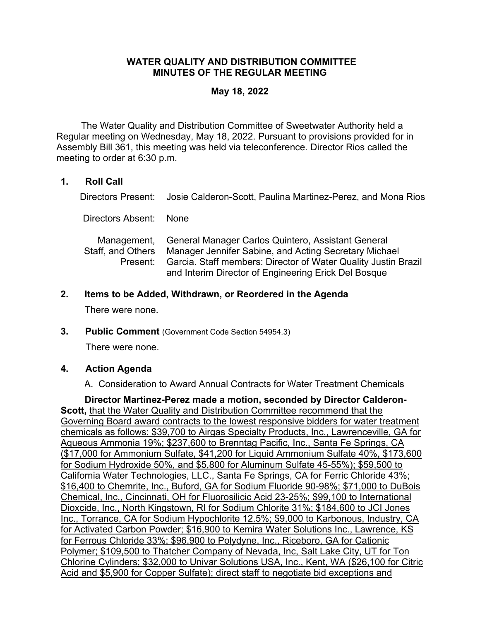## **WATER QUALITY AND DISTRIBUTION COMMITTEE MINUTES OF THE REGULAR MEETING**

## **May 18, 2022**

 The Water Quality and Distribution Committee of Sweetwater Authority held a Regular meeting on Wednesday, May 18, 2022. Pursuant to provisions provided for in Assembly Bill 361, this meeting was held via teleconference. Director Rios called the meeting to order at 6:30 p.m.

## **1. Roll Call**

Directors Present: Josie Calderon-Scott, Paulina Martinez-Perez, and Mona Rios

Directors Absent: None

| Management, General Manager Carlos Quintero, Assistant General          |
|-------------------------------------------------------------------------|
| Staff, and Others Manager Jennifer Sabine, and Acting Secretary Michael |
| Present: Garcia. Staff members: Director of Water Quality Justin Brazil |
| and Interim Director of Engineering Erick Del Bosque                    |

# **2. Items to be Added, Withdrawn, or Reordered in the Agenda**

There were none.

**3. Public Comment** (Government Code Section 54954.3)

There were none.

### **4. Action Agenda**

A. Consideration to Award Annual Contracts for Water Treatment Chemicals

**Director Martinez-Perez made a motion, seconded by Director Calderon-Scott,** that the Water Quality and Distribution Committee recommend that the Governing Board award contracts to the lowest responsive bidders for water treatment chemicals as follows: \$39,700 to Airgas Specialty Products, Inc., Lawrenceville, GA for Aqueous Ammonia 19%; \$237,600 to Brenntag Pacific, Inc., Santa Fe Springs, CA (\$17,000 for Ammonium Sulfate, \$41,200 for Liquid Ammonium Sulfate 40%, \$173,600 for Sodium Hydroxide 50%, and \$5,800 for Aluminum Sulfate 45-55%); \$59,500 to California Water Technologies, LLC., Santa Fe Springs, CA for Ferric Chloride 43%; \$16,400 to Chemrite, Inc., Buford, GA for Sodium Fluoride 90-98%; \$71,000 to DuBois Chemical, Inc., Cincinnati, OH for Fluorosilicic Acid 23-25%; \$99,100 to International Dioxcide, Inc., North Kingstown, RI for Sodium Chlorite 31%; \$184,600 to JCI Jones Inc., Torrance, CA for Sodium Hypochlorite 12.5%; \$9,000 to Karbonous, Industry, CA for Activated Carbon Powder; \$16,900 to Kemira Water Solutions Inc., Lawrence, KS for Ferrous Chloride 33%; \$96,900 to Polydyne, Inc., Riceboro, GA for Cationic Polymer; \$109,500 to Thatcher Company of Nevada, Inc, Salt Lake City, UT for Ton Chlorine Cylinders; \$32,000 to Univar Solutions USA, Inc., Kent, WA (\$26,100 for Citric Acid and \$5,900 for Copper Sulfate); direct staff to negotiate bid exceptions and